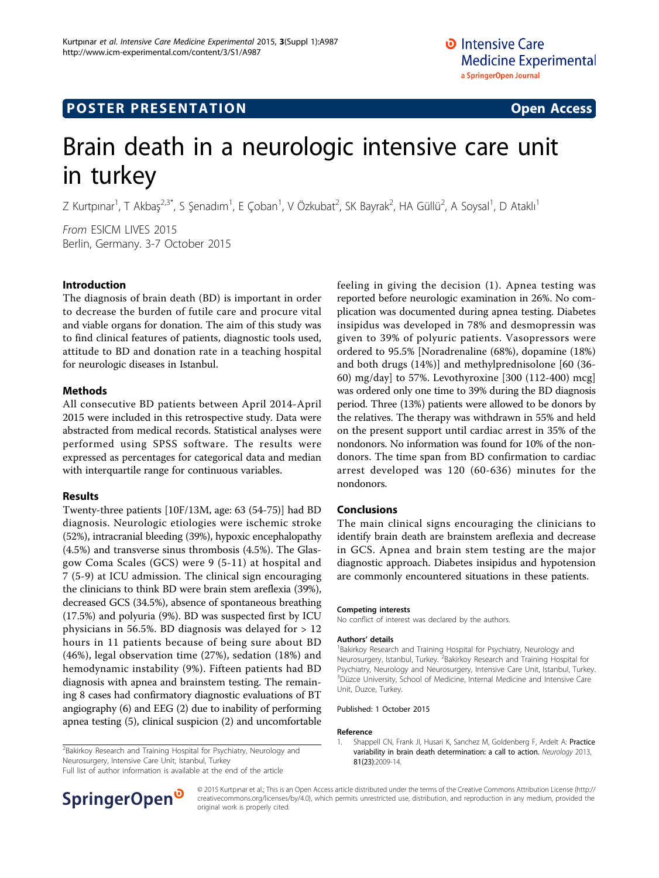# **POSTER PRESENTATION CONSUMING ACCESS**

# Brain death in a neurologic intensive care unit in turkey

Z Kurtpınar<sup>1</sup>, T Akbaş<sup>2,3\*</sup>, S Şenadım<sup>1</sup>, E Çoban<sup>1</sup>, V Özkubat<sup>2</sup>, SK Bayrak<sup>2</sup>, HA Güllü<sup>2</sup>, A Soysal<sup>1</sup>, D Ataklı<sup>1</sup>

From ESICM LIVES 2015 Berlin, Germany. 3-7 October 2015

## Introduction

The diagnosis of brain death (BD) is important in order to decrease the burden of futile care and procure vital and viable organs for donation. The aim of this study was to find clinical features of patients, diagnostic tools used, attitude to BD and donation rate in a teaching hospital for neurologic diseases in Istanbul.

#### Methods

All consecutive BD patients between April 2014-April 2015 were included in this retrospective study. Data were abstracted from medical records. Statistical analyses were performed using SPSS software. The results were expressed as percentages for categorical data and median with interquartile range for continuous variables.

## Results

Twenty-three patients [10F/13M, age: 63 (54-75)] had BD diagnosis. Neurologic etiologies were ischemic stroke (52%), intracranial bleeding (39%), hypoxic encephalopathy (4.5%) and transverse sinus thrombosis (4.5%). The Glasgow Coma Scales (GCS) were 9 (5-11) at hospital and 7 (5-9) at ICU admission. The clinical sign encouraging the clinicians to think BD were brain stem areflexia (39%), decreased GCS (34.5%), absence of spontaneous breathing (17.5%) and polyuria (9%). BD was suspected first by ICU physicians in 56.5%. BD diagnosis was delayed for > 12 hours in 11 patients because of being sure about BD (46%), legal observation time (27%), sedation (18%) and hemodynamic instability (9%). Fifteen patients had BD diagnosis with apnea and brainstem testing. The remaining 8 cases had confirmatory diagnostic evaluations of BT angiography (6) and EEG (2) due to inability of performing apnea testing (5), clinical suspicion (2) and uncomfortable feeling in giving the decision (1). Apnea testing was reported before neurologic examination in 26%. No complication was documented during apnea testing. Diabetes insipidus was developed in 78% and desmopressin was given to 39% of polyuric patients. Vasopressors were ordered to 95.5% [Noradrenaline (68%), dopamine (18%) and both drugs (14%)] and methylprednisolone [60 (36- 60) mg/day] to 57%. Levothyroxine [300 (112-400) mcg] was ordered only one time to 39% during the BD diagnosis period. Three (13%) patients were allowed to be donors by the relatives. The therapy was withdrawn in 55% and held on the present support until cardiac arrest in 35% of the nondonors. No information was found for 10% of the nondonors. The time span from BD confirmation to cardiac arrest developed was 120 (60-636) minutes for the nondonors.

## Conclusions

The main clinical signs encouraging the clinicians to identify brain death are brainstem areflexia and decrease in GCS. Apnea and brain stem testing are the major diagnostic approach. Diabetes insipidus and hypotension are commonly encountered situations in these patients.

#### Competing interests

No conflict of interest was declared by the authors.

#### Authors' details <sup>1</sup>

<sup>1</sup>Bakirkoy Research and Training Hospital for Psychiatry, Neurology and Neurosurgery, Istanbul, Turkey. <sup>2</sup>Bakirkoy Research and Training Hospital for Psychiatry, Neurology and Neurosurgery, Intensive Care Unit, Istanbul, Turkey. <sup>3</sup>Düzce University, School of Medicine, Internal Medicine and Intensive Care Unit, Duzce, Turkey.

1. Shappell CN, Frank JI, Husari K, Sanchez M, Goldenberg F, Ardelt A: [Practice](http://www.ncbi.nlm.nih.gov/pubmed/24198290?dopt=Abstract) [variability in brain death determination: a call to action.](http://www.ncbi.nlm.nih.gov/pubmed/24198290?dopt=Abstract) Neurology 2013,

Published: 1 October 2015

81(23):2009-14.

#### Reference

Full list of author information is available at the end of the article



© 2015 Kurtpınar et al.; This is an Open Access article distributed under the terms of the Creative Commons Attribution License [\(http://](http://creativecommons.org/licenses/by/4.0) [creativecommons.org/licenses/by/4.0](http://creativecommons.org/licenses/by/4.0)), which permits unrestricted use, distribution, and reproduction in any medium, provided the original work is properly cited.

<sup>&</sup>lt;sup>2</sup>Bakirkoy Research and Training Hospital for Psychiatry, Neurology and Neurosurgery, Intensive Care Unit, Istanbul, Turkey